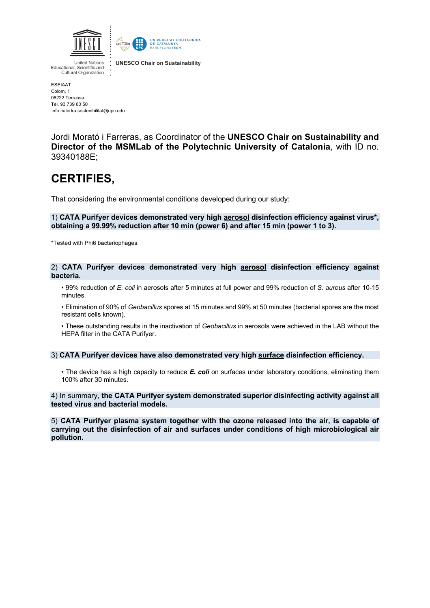



**United Nations** Educational, Scientific and Cultural Organization

**UNESCO Chair on Sustainability** 

ESEIAAT Colom, 1 08222 Terrassa Tel. 93 739 80 50 info.catedra.sostenibilitat@upc.edu

Jordi Morató i Farreras, as Coordinator of the **UNESCO Chair on Sustainability and Director of the MSMLab of the Polytechnic University of Catalonia**, with ID no. 39340188E;

## **CERTIFIES,**

That considering the environmental conditions developed during our study:

1) **CATA Purifyer devices demonstrated very high aerosol disinfection efficiency against virus\*, obtaining a 99.99% reduction after 10 min (power 6) and after 15 min (power 1 to 3).**

\*Tested with Phi6 bacteriophages.

## 2) **CATA Purifyer devices demonstrated very high aerosol disinfection efficiency against bacteria.**

• 99% reduction of *E. coli* in aerosols after 5 minutes at full power and 99% reduction of *S. aureus* after 10-15 minutes.

• Elimination of 90% of *Geobacillus* spores at 15 minutes and 99% at 50 minutes (bacterial spores are the most resistant cells known).

• These outstanding results in the inactivation of *Geobacillus* in aerosols were achieved in the LAB without the HEPA filter in the CATA Purifyer.

## 3) **CATA Purifyer devices have also demonstrated very high surface disinfection efficiency.**

• The device has a high capacity to reduce *E. coli* on surfaces under laboratory conditions, eliminating them 100% after 30 minutes.

4) In summary, **the CATA Purifyer system demonstrated superior disinfecting activity against all tested virus and bacterial models.**

5) **CATA Purifyer plasma system together with the ozone released into the air, is capable of carrying out the disinfection of air and surfaces under conditions of high microbiological air pollution.**